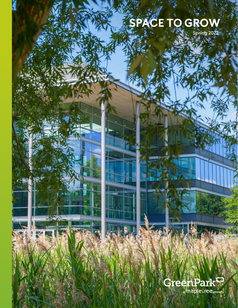## **SPACE TO GROW**

Spring 2022

# GreenPark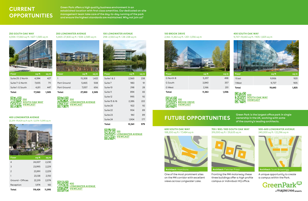## **CURRENT OPPORTUNITIES**

Green Park offers a high quality business environment in an established location with first class amenities. Our dedicated on-site management team take care of the day-to-day running of the park and ensure the highest standards are maintained. Why not join us?

### **250 SOUTH OAK WAY** 4,594–17,060 sq ft / 427–1,585 sq m



Suite 7: G North 7,655 711 Suite 1: G South 4,811 447 **Total 17,060 1,585** **200 LONGWATER AVENUE** 5,465–27,830 sq ft / 508–2,585 sq m



П සාං **200 [SOUTH OAK WAY](https://www.greenpark.co.uk/property/250-south-oak-way/viewcast/) VIEWCAST**

#### **400 LONGWATER AVENUE** 22,319–119,424 sq ft sq ft / 2,074–11,095 sq m

**VIEWCAST**

**250**

对国



| <b>Floor</b>     | sq ft   | sq m   |
|------------------|---------|--------|
| 4                | 24,007  | 2,230  |
| 3                | 23,995  | 2,229  |
| $\overline{2}$   | 23,991  | 2,229  |
| 1                | 23,138  | 2,150  |
| Ground - Offices | 22,319  | 2,074  |
| Reception        | 1,974   | 183    |
| Total            | 119,424 | 11,095 |

**[LONGWATER AVENUE](https://www.greenpark.co.uk/property/200-longwater-avenue/viewcast/)**

**400**

**VIEWCAST**

**[LONGWATER AVENUE](https://www.greenpark.co.uk/400-450lwa/)** 

## **100 LONGWATER AVENUE** 298–2,560 sq ft / 28–238 sq m



пIJ **100 [LONGWATER AVENUE](https://www.greenpark.co.uk/property/100-longwater-avenue/viewcast/) VIEWCAST**

**Total 10,541 979**

**100 BROOK DRIVE** 2,166–11,363 sq ft / 201–1,056 sq m



| G North B | 5,357  | 498   |
|-----------|--------|-------|
| G South   | 3,840  | 357   |
| G West    | 2,166  | 201   |
| Total     | 11,363 | 1,056 |

回激回 **100** 篘 **[BROOK DRIVE](https://www.greenpark.co.uk/property/100-brook-drive/viewcast/) VIEWCAST**

### **400 SOUTH OAK WAY** 9,737–19,643 sq ft / 905–1,825 sq m



| <b>Floor</b> | sq ft  | sq m  |
|--------------|--------|-------|
| 1 East       | 9,906  | 920   |
| 1 West       | 9.737  | 905   |
| Total        | 19,643 | 1,825 |



ownership in the UK, working with some of the country's leading architects.

**FUTURE OPPORTUNITIES** Green Park is the largest office park in single

## **600 SOUTH OAK WAY**





**500–600 LONGWATER AVENUE** 240,000 sq ft / 22,296 sq m

by Berkeley



A unique opportunity to create a campus within the Park.



## 188,200 sq ft / 17,484 sq m



**Architect:** Hamiltons

on the M4 corridor with excellent t One of the most prominent sites views across Longwater Lake.



## **Architect:** Fletcher Priest

Part available Fronting the M4 motorway these three buildings offer a high profile





campus or individual HQ office.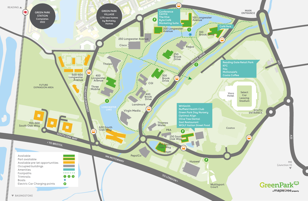